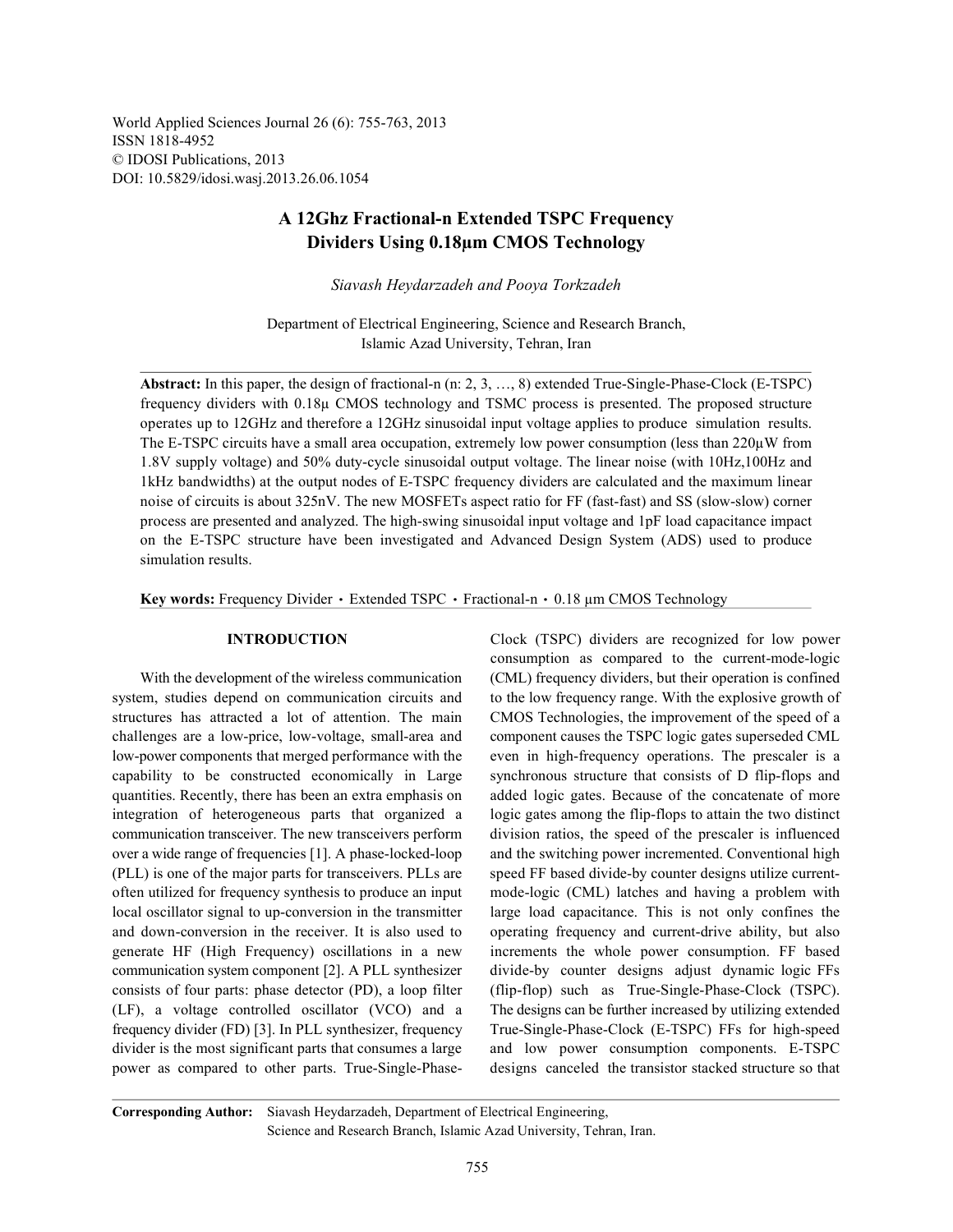World Applied Sciences Journal 26 (6): 755-763, 2013 ISSN 1818-4952 © IDOSI Publications, 2013 DOI: 10.5829/idosi.wasj.2013.26.06.1054

## **A 12Ghz Fractional-n Extended TSPC Frequency Dividers Using 0.18µm CMOS Technology**

*Siavash Heydarzadeh and Pooya Torkzadeh*

Department of Electrical Engineering, Science and Research Branch, Islamic Azad University, Tehran, Iran

**Abstract:** In this paper, the design of fractional-n (n: 2, 3, …, 8) extended True-Single-Phase-Clock (E-TSPC) frequency dividers with 0.18µ CMOS technology and TSMC process is presented. The proposed structure operates up to 12GHz and therefore a 12GHz sinusoidal input voltage applies to produce simulation results. The E-TSPC circuits have a small area occupation, extremely low power consumption (less than  $220\mu$ W from 1.8V supply voltage) and 50% duty-cycle sinusoidal output voltage. The linear noise (with 10Hz,100Hz and 1kHz bandwidths) at the output nodes of E-TSPC frequency dividers are calculated and the maximum linear noise of circuits is about 325nV. The new MOSFETs aspect ratio for FF (fast-fast) and SS (slow-slow) corner process are presented and analyzed. The high-swing sinusoidal input voltage and 1pF load capacitance impact on the E-TSPC structure have been investigated and Advanced Design System (ADS) used to produce simulation results.

Key words: Frequency Divider · Extended TSPC · Fractional-n · 0.18 µm CMOS Technology

system, studies depend on communication circuits and to the low frequency range. With the explosive growth of structures has attracted a lot of attention. The main CMOS Technologies, the improvement of the speed of a challenges are a low-price, low-voltage, small-area and component causes the TSPC logic gates superseded CML low-power components that merged performance with the even in high-frequency operations. The prescaler is a capability to be constructed economically in Large synchronous structure that consists of D flip-flops and quantities. Recently, there has been an extra emphasis on added logic gates. Because of the concatenate of more integration of heterogeneous parts that organized a logic gates among the flip-flops to attain the two distinct communication transceiver. The new transceivers perform division ratios, the speed of the prescaler is influenced over a wide range of frequencies [1]. A phase-locked-loop and the switching power incremented. Conventional high (PLL) is one of the major parts for transceivers. PLLs are speed FF based divide-by counter designs utilize currentoften utilized for frequency synthesis to produce an input mode-logic (CML) latches and having a problem with local oscillator signal to up-conversion in the transmitter large load capacitance. This is not only confines the and down-conversion in the receiver. It is also used to operating frequency and current-drive ability, but also generate HF (High Frequency) oscillations in a new increments the whole power consumption. FF based communication system component [2]. A PLL synthesizer divide-by counter designs adjust dynamic logic FFs consists of four parts: phase detector (PD), a loop filter (flip-flop) such as True-Single-Phase-Clock (TSPC). (LF), a voltage controlled oscillator (VCO) and a The designs can be further increased by utilizing extended frequency divider (FD) [3]. In PLL synthesizer, frequency True-Single-Phase-Clock (E-TSPC) FFs for high-speed divider is the most significant parts that consumes a large and low power consumption components. E-TSPC power as compared to other parts. True-Single-Phase- designs canceled the transistor stacked structure so that

**INTRODUCTION** Clock (TSPC) dividers are recognized for low power With the development of the wireless communication (CML) frequency dividers, but their operation is confined consumption as compared to the current-mode-logic

**Corresponding Author:** Siavash Heydarzadeh, Department of Electrical Engineering, Science and Research Branch, Islamic Azad University, Tehran, Iran.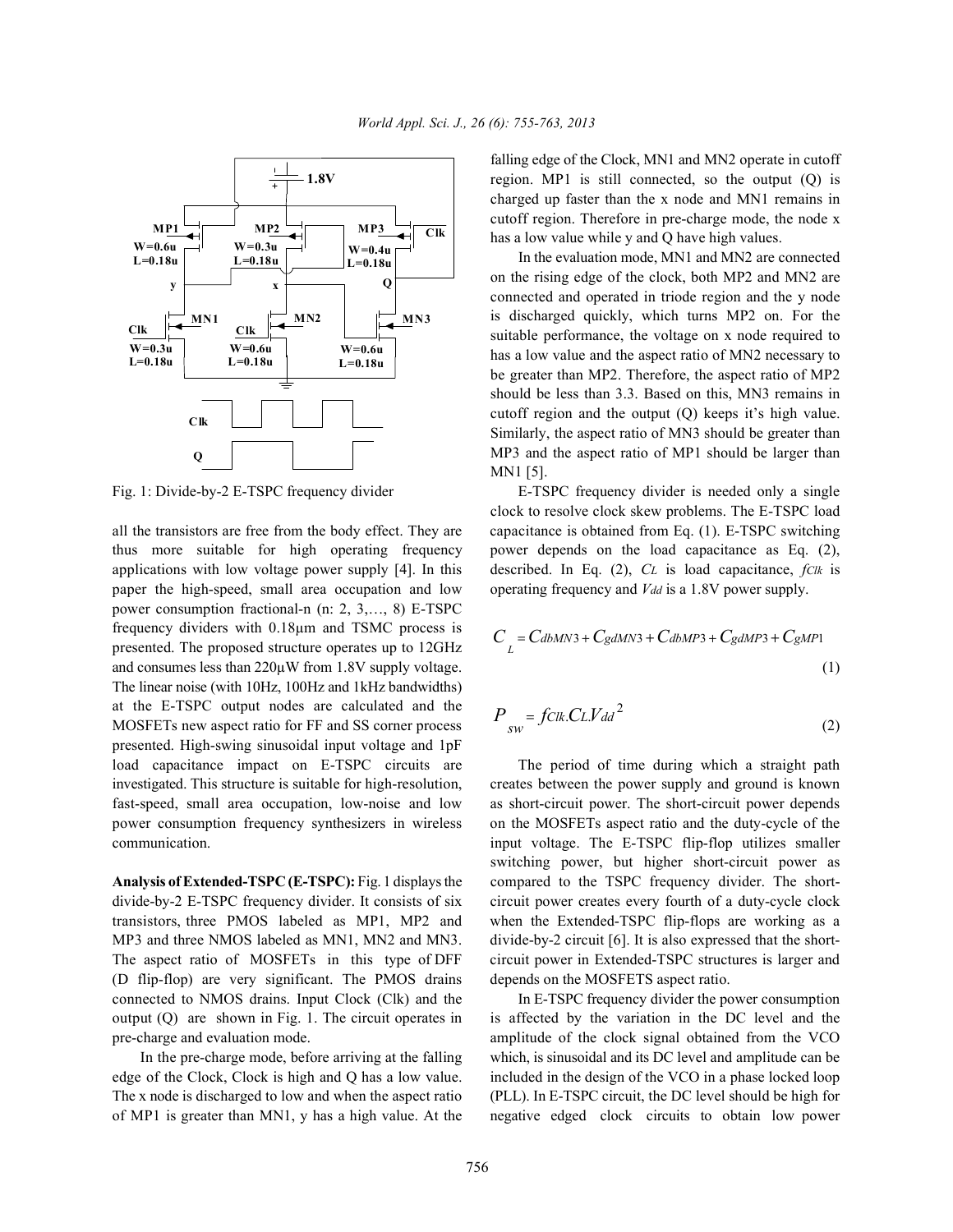

thus more suitable for high operating frequency power depends on the load capacitance as Eq. (2), applications with low voltage power supply [4]. In this described. In Eq. (2), *CL* is load capacitance, *fClk* is paper the high-speed, small area occupation and low operating frequency and *Vdd* is a 1.8V power supply. power consumption fractional-n (n: 2, 3,…, 8) E-TSPC frequency dividers with 0.18µm and TSMC process is presented. The proposed structure operates up to 12GHz and consumes less than  $220\mu$ W from 1.8V supply voltage. The linear noise (with 10Hz, 100Hz and 1kHz bandwidths) at the E-TSPC output nodes are calculated and the MOSFETs new aspect ratio for FF and SS corner process presented. High-swing sinusoidal input voltage and 1pF load capacitance impact on E-TSPC circuits are The period of time during which a straight path investigated. This structure is suitable for high-resolution, creates between the power supply and ground is known fast-speed, small area occupation, low-noise and low as short-circuit power. The short-circuit power depends power consumption frequency synthesizers in wireless on the MOSFETs aspect ratio and the duty-cycle of the communication. input voltage. The E-TSPC flip-flop utilizes smaller

divide-by-2 E-TSPC frequency divider. It consists of six circuit power creates every fourth of a duty-cycle clock transistors, three PMOS labeled as MP1, MP2 and when the Extended-TSPC flip-flops are working as a MP3 and three NMOS labeled as MN1, MN2 and MN3. divide-by-2 circuit [6]. It is also expressed that the short-The aspect ratio of MOSFETs in this type of DFF circuit power in Extended-TSPC structures is larger and (D flip-flop) are very significant. The PMOS drains depends on the MOSFETS aspect ratio. connected to NMOS drains. Input Clock (Clk) and the In E-TSPC frequency divider the power consumption output (Q) are shown in Fig. 1. The circuit operates in is affected by the variation in the DC level and the pre-charge and evaluation mode. amplitude of the clock signal obtained from the VCO

falling edge of the Clock, MN1 and MN2 operate in cutoff region. MP1 is still connected, so the output (Q) is charged up faster than the x node and MN1 remains in cutoff region. Therefore in pre-charge mode, the node x has a low value while y and Q have high values.

In the evaluation mode, MN1 and MN2 are connected on the rising edge of the clock, both MP2 and MN2 are connected and operated in triode region and the y node is discharged quickly, which turns MP2 on. For the suitable performance, the voltage on x node required to has a low value and the aspect ratio of MN2 necessary to be greater than MP2. Therefore, the aspect ratio of MP2 should be less than 3.3. Based on this, MN3 remains in cutoff region and the output (Q) keeps it's high value. Similarly, the aspect ratio of MN3 should be greater than MP3 and the aspect ratio of MP1 should be larger than MN1 [5].

Fig. 1: Divide-by-2 E-TSPC frequency divider E-TSPC frequency divider is needed only a single all the transistors are free from the body effect. They are capacitance is obtained from Eq. (1). E-TSPC switching clock to resolve clock skew problems. The E-TSPC load

$$
C_{L} = CdbMN3 + CgdMN3 + CdbMP3 + CgdMP3 + CgMP1
$$
\n(1)

$$
P_{sw} = fClk.CLVdd^2
$$
 (2)

**Analysis of Extended-TSPC (E-TSPC):** Fig. 1 displays the compared to the TSPC frequency divider. The shortswitching power, but higher short-circuit power as

In the pre-charge mode, before arriving at the falling which, is sinusoidal and its DC level and amplitude can be edge of the Clock, Clock is high and Q has a low value. included in the design of the VCO in a phase locked loop The x node is discharged to low and when the aspect ratio (PLL). In E-TSPC circuit, the DC level should be high for of MP1 is greater than MN1, y has a high value. At the negative edged clock circuits to obtain low power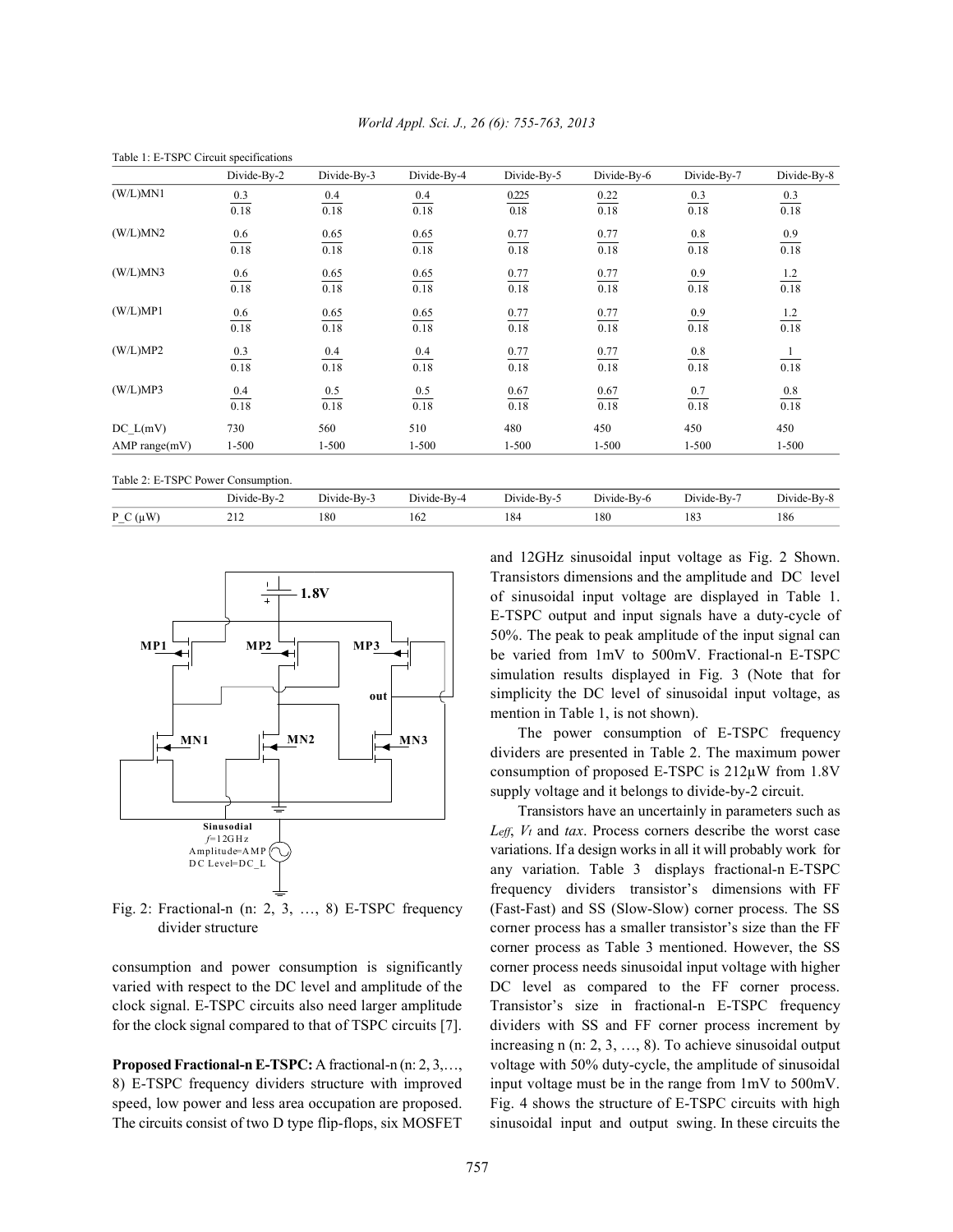| Divide-By-2<br>0.3 | Divide-By-3<br>0.4                                                                                 | Divide-By-4<br>0.4                                                                                           | Divide-By-5                                                                              | Divide-By-6                                                                                                    | Divide-By-7                                                      | Divide-By-8                                                                                                             |
|--------------------|----------------------------------------------------------------------------------------------------|--------------------------------------------------------------------------------------------------------------|------------------------------------------------------------------------------------------|----------------------------------------------------------------------------------------------------------------|------------------------------------------------------------------|-------------------------------------------------------------------------------------------------------------------------|
|                    |                                                                                                    |                                                                                                              |                                                                                          |                                                                                                                |                                                                  |                                                                                                                         |
|                    | 0.18                                                                                               | 0.18                                                                                                         | 0.225<br>0.18                                                                            | 0.22<br>0.18                                                                                                   | 0.3<br>0.18                                                      | 0.3<br>0.18                                                                                                             |
| 0.18               |                                                                                                    |                                                                                                              |                                                                                          |                                                                                                                |                                                                  |                                                                                                                         |
|                    |                                                                                                    | 0.65                                                                                                         |                                                                                          | 0.77                                                                                                           |                                                                  | $\frac{0.9}{0.18}$                                                                                                      |
|                    |                                                                                                    | 0.18                                                                                                         |                                                                                          | 0.18                                                                                                           |                                                                  |                                                                                                                         |
|                    |                                                                                                    |                                                                                                              |                                                                                          |                                                                                                                |                                                                  |                                                                                                                         |
|                    |                                                                                                    |                                                                                                              |                                                                                          |                                                                                                                |                                                                  | $\frac{1.2}{0.18}$                                                                                                      |
|                    |                                                                                                    |                                                                                                              |                                                                                          |                                                                                                                |                                                                  |                                                                                                                         |
|                    |                                                                                                    |                                                                                                              |                                                                                          |                                                                                                                |                                                                  | $\frac{1.2}{0.18}$                                                                                                      |
|                    |                                                                                                    |                                                                                                              |                                                                                          |                                                                                                                |                                                                  |                                                                                                                         |
|                    |                                                                                                    |                                                                                                              |                                                                                          |                                                                                                                |                                                                  | $\frac{1}{\sqrt{2}}$                                                                                                    |
|                    |                                                                                                    |                                                                                                              |                                                                                          | 0.18                                                                                                           |                                                                  | 0.18                                                                                                                    |
|                    |                                                                                                    |                                                                                                              |                                                                                          |                                                                                                                |                                                                  |                                                                                                                         |
|                    |                                                                                                    |                                                                                                              |                                                                                          | 0.18                                                                                                           |                                                                  | $\frac{0.8}{0.18}$                                                                                                      |
|                    |                                                                                                    |                                                                                                              |                                                                                          |                                                                                                                |                                                                  | 450                                                                                                                     |
|                    |                                                                                                    |                                                                                                              |                                                                                          |                                                                                                                |                                                                  | $1 - 500$                                                                                                               |
|                    | 0.6<br>0.18<br>0.6<br>0.18<br>0.6<br>0.18<br>0.3<br>0.18<br>$\frac{0.4}{0.18}$<br>730<br>$1 - 500$ | 0.65<br>0.18<br>0.65<br>0.18<br>0.65<br>0.18<br>$\frac{0.4}{0.18}$<br>$\frac{0.5}{0.18}$<br>560<br>$1 - 500$ | 0.65<br>0.18<br>0.65<br>0.18<br>$\frac{0.4}{0.18}$<br>$\frac{0.5}{0.18}$<br>510<br>1-500 | 0.77<br>0.18<br>$\frac{0.77}{0.18}$<br>0.77<br>0.18<br>$\frac{0.77}{0.18}$<br>0.67<br>0.18<br>480<br>$1 - 500$ | 0.77<br>0.18<br>0.77<br>0.18<br>0.77<br>0.67<br>450<br>$1 - 500$ | 0.8<br>0.18<br>$\frac{0.9}{0.18}$<br>$\frac{0.9}{0.18}$<br>$\frac{0.8}{0.18}$<br>$\frac{0.7}{0.18}$<br>450<br>$1 - 500$ |

P\_C (µW) 212 180 162 184 180 183 186

Divide-By-2 Divide-By-3 Divide-By-4 Divide-By-5 Divide-By-6 Divide-By-7 Divide-By-8

*World Appl. Sci. J., 26 (6): 755-763, 2013*



varied with respect to the DC level and amplitude of the DC level as compared to the FF corner process.

8) E-TSPC frequency dividers structure with improved input voltage must be in the range from 1mV to 500mV. speed, low power and less area occupation are proposed. Fig. 4 shows the structure of E-TSPC circuits with high The circuits consist of two D type flip-flops, six MOSFET sinusoidal input and output swing. In these circuits the

and 12GHz sinusoidal input voltage as Fig. 2 Shown. Transistors dimensions and the amplitude and DC level of sinusoidal input voltage are displayed in Table 1. E-TSPC output and input signals have a duty-cycle of 50%. The peak to peak amplitude of the input signal can be varied from 1mV to 500mV. Fractional-n E-TSPC simulation results displayed in Fig. 3 (Note that for simplicity the DC level of sinusoidal input voltage, as mention in Table 1, is not shown).

The power consumption of E-TSPC frequency dividers are presented in Table 2. The maximum power consumption of proposed E-TSPC is 212µW from 1.8V supply voltage and it belongs to divide-by-2 circuit.

Fig. 2: Fractional-n (n: 2, 3, …, 8) E-TSPC frequency (Fast-Fast) and SS (Slow-Slow) corner process. The SS divider structure corner process has a smaller transistor's size than the FF consumption and power consumption is significantly corner process needs sinusoidal input voltage with higher clock signal. E-TSPC circuits also need larger amplitude Transistor's size in fractional-n E-TSPC frequency for the clock signal compared to that of TSPC circuits [7]. dividers with SS and FF corner process increment by **Proposed Fractional-n E-TSPC:** A fractional-n (n: 2, 3,…, voltage with 50% duty-cycle, the amplitude of sinusoidal Transistors have an uncertainly in parameters such as *Leff*, *Vt* and *tax*. Process corners describe the worst case variations. If a design works in all it will probably work for any variation. Table 3 displays fractional-n E-TSPC frequency dividers transistor's dimensions with FF corner process as Table 3 mentioned. However, the SS increasing n (n: 2, 3, …, 8). To achieve sinusoidal output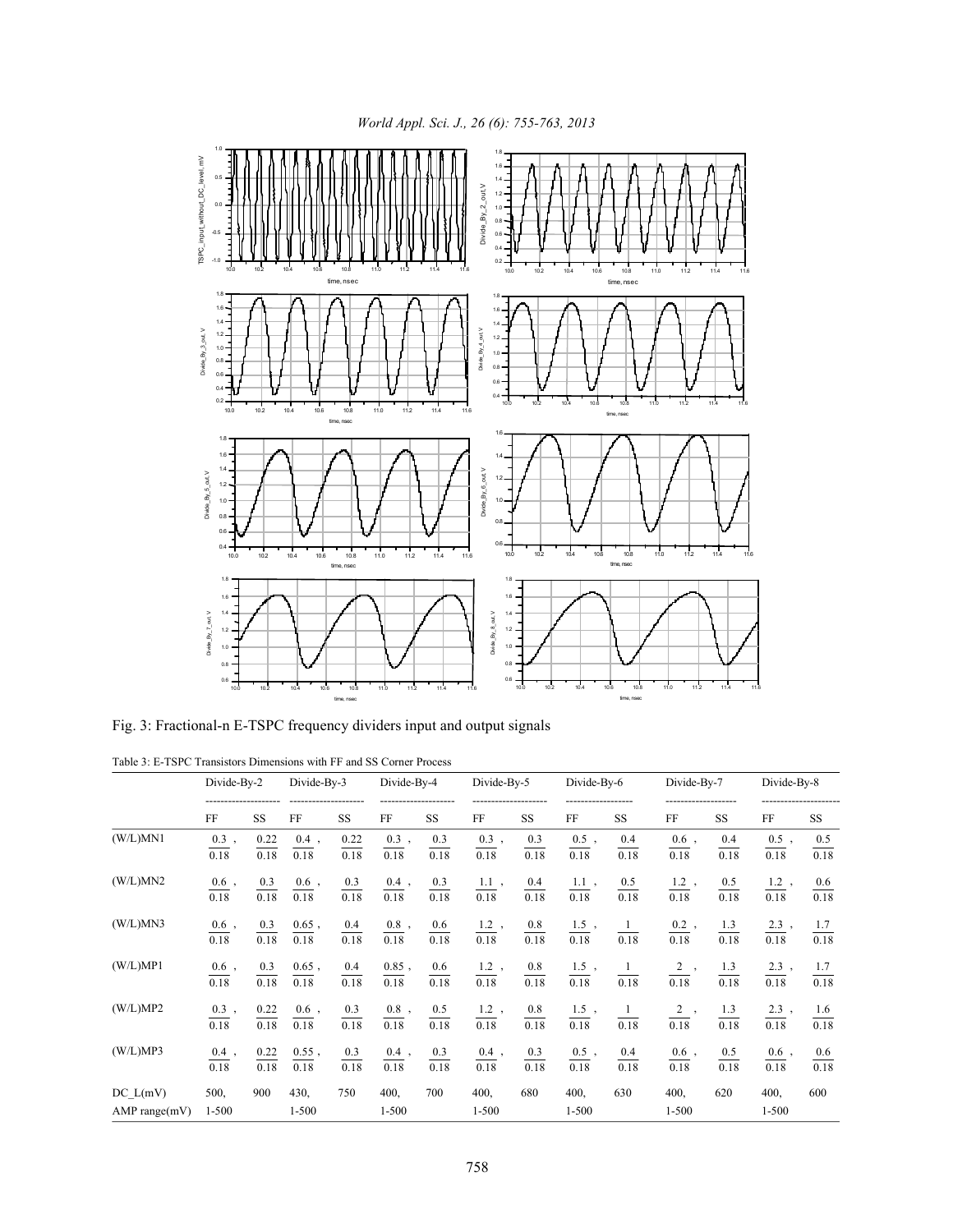

Fig. 3: Fractional-n E-TSPC frequency dividers input and output signals

Table 3: E-TSPC Transistors Dimensions with FF and SS Corner Process

|                           | Divide-By-2       |              | Divide-By-3       |              |                   | Divide-By-4              |                      | Divide-By-5        |                           | Divide-By-6      |                                | Divide-By-7             |                      | Divide-By-8             |  |
|---------------------------|-------------------|--------------|-------------------|--------------|-------------------|--------------------------|----------------------|--------------------|---------------------------|------------------|--------------------------------|-------------------------|----------------------|-------------------------|--|
|                           | FF                | <b>SS</b>    | FF                | <b>SS</b>    | FF                | <b>SS</b>                | FF                   | <b>SS</b>          | FF                        | <b>SS</b>        | FF                             | <b>SS</b>               | FF                   | SS                      |  |
| (W/L)MN1                  | $0.3$ ,<br>0.18   | 0.22<br>0.18 | $0.4$ ,<br>0.18   | 0.22<br>0.18 | $0.3$ ,<br>0.18   | 0.3<br>0.18              | $0.3$ ,<br>0.18      | 0.3<br>0.18        | $0.5$ ,<br>0.18           | 0.4<br>0.18      | $0.6$ ,<br>0.18                | 0.4<br>0.18             | $0.5$ ,<br>0.18      | 0.5<br>0.18             |  |
| (W/L)MN2                  | $0.6$ ,<br>0.18   | 0.3<br>0.18  | $0.6$ ,<br>0.18   | 0.3<br>0.18  | $0.4$ ,<br>0.18   | 0.3<br>0.18              | $1.1$ ,<br>0.18      | 0.4<br>0.18        | $1.1$ ,<br>0.18           | 0.5<br>0.18      | $1.2$ ,<br>0.18                | 0.5<br>0.18             | $1.2$ ,<br>0.18      | 0.6<br>0.18             |  |
| (W/L)MN3                  | $0.6$ ,<br>0.18   | 0.3<br>0.18  | $0.65$ ,<br>0.18  | 0.4<br>0.18  | $0.8$ ,<br>0.18   | 0.6<br>$\overline{0.18}$ | $1.2$ ,<br>0.18      | $\frac{0.8}{0.18}$ | $\frac{1.5}{0.18}$ ,      | $\frac{1}{0.18}$ | $\frac{0.2}{0.18}$ ,           | $\frac{1.3}{0.18}$      | $\frac{2.3}{0.18}$ , | $\frac{1.7}{0.18}$      |  |
| (W/L)MP1                  | $0.6$ ,<br>0.18   | 0.3<br>0.18  | $0.65$ ,<br>0.18  | 0.4<br>0.18  | $0.85$ ,<br>0.18  | 0.6<br>0.18              | $1.2$ ,<br>0.18      | 0.8<br>0.18        | $\frac{1.5}{1}$ ,<br>0.18 | $\frac{1}{0.18}$ | $\frac{2}{\sqrt{2}}$ ,<br>0.18 | $\frac{1.3}{1}$<br>0.18 | $2.3$ ,<br>0.18      | $\frac{1.7}{1}$<br>0.18 |  |
| (W/L)MP2                  | $0.3$ ,<br>0.18   | 0.22<br>0.18 | $0.6$ ,<br>0.18   | 0.3<br>0.18  | $0.8\;$ ,<br>0.18 | $\frac{0.5}{0.18}$       | $\frac{1.2}{0.18}$ , | $\frac{0.8}{0.18}$ | $\frac{1.5}{0.18}$ ,      | $\frac{1}{0.18}$ | $\frac{2}{0.18}$ ,             | $\frac{1.3}{0.18}$      | $2.3$ ,<br>0.18      | 1.6<br>0.18             |  |
| (W/L)MP3                  | $0.4$ ,<br>0.18   | 0.22<br>0.18 | $0.55$ ,<br>0.18  | 0.3<br>0.18  | $0.4$ ,<br>0.18   | 0.3<br>0.18              | $0.4$ ,<br>0.18      | 0.3<br>0.18        | $0.5$ ,<br>0.18           | 0.4<br>0.18      | $0.6$ ,<br>0.18                | 0.5<br>0.18             | $0.6$ ,<br>0.18      | 0.6<br>0.18             |  |
| DC L(mV)<br>AMP range(mV) | 500,<br>$1 - 500$ | 900          | 430,<br>$1 - 500$ | 750          | 400,<br>$1 - 500$ | 700                      | 400,<br>$1 - 500$    | 680                | 400,<br>$1 - 500$         | 630              | 400,<br>$1 - 500$              | 620                     | 400,<br>$1 - 500$    | 600                     |  |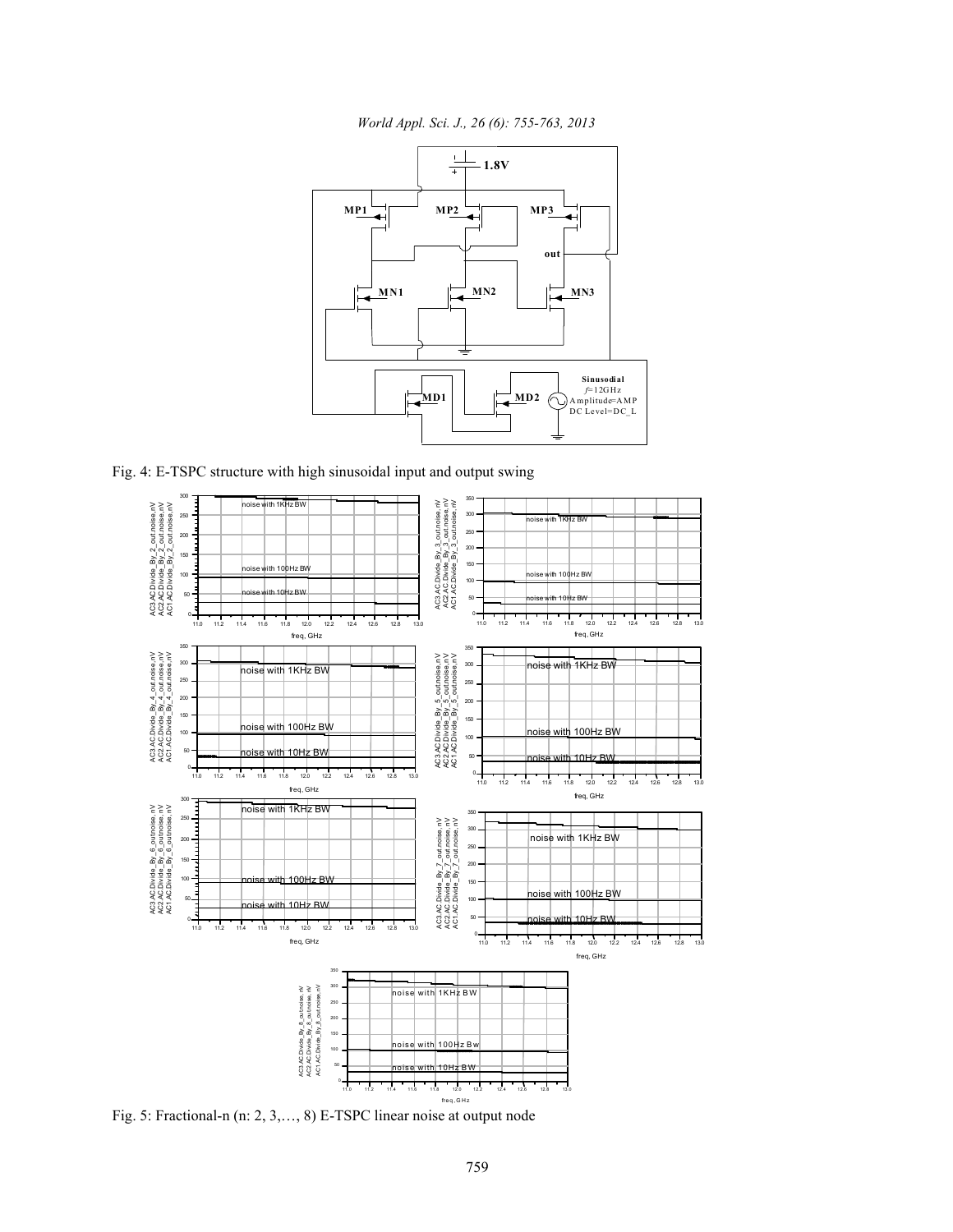*World Appl. Sci. J., 26 (6): 755-763, 2013*



Fig. 4: E-TSPC structure with high sinusoidal input and output swing



Fig. 5: Fractional-n (n: 2, 3,…, 8) E-TSPC linear noise at output node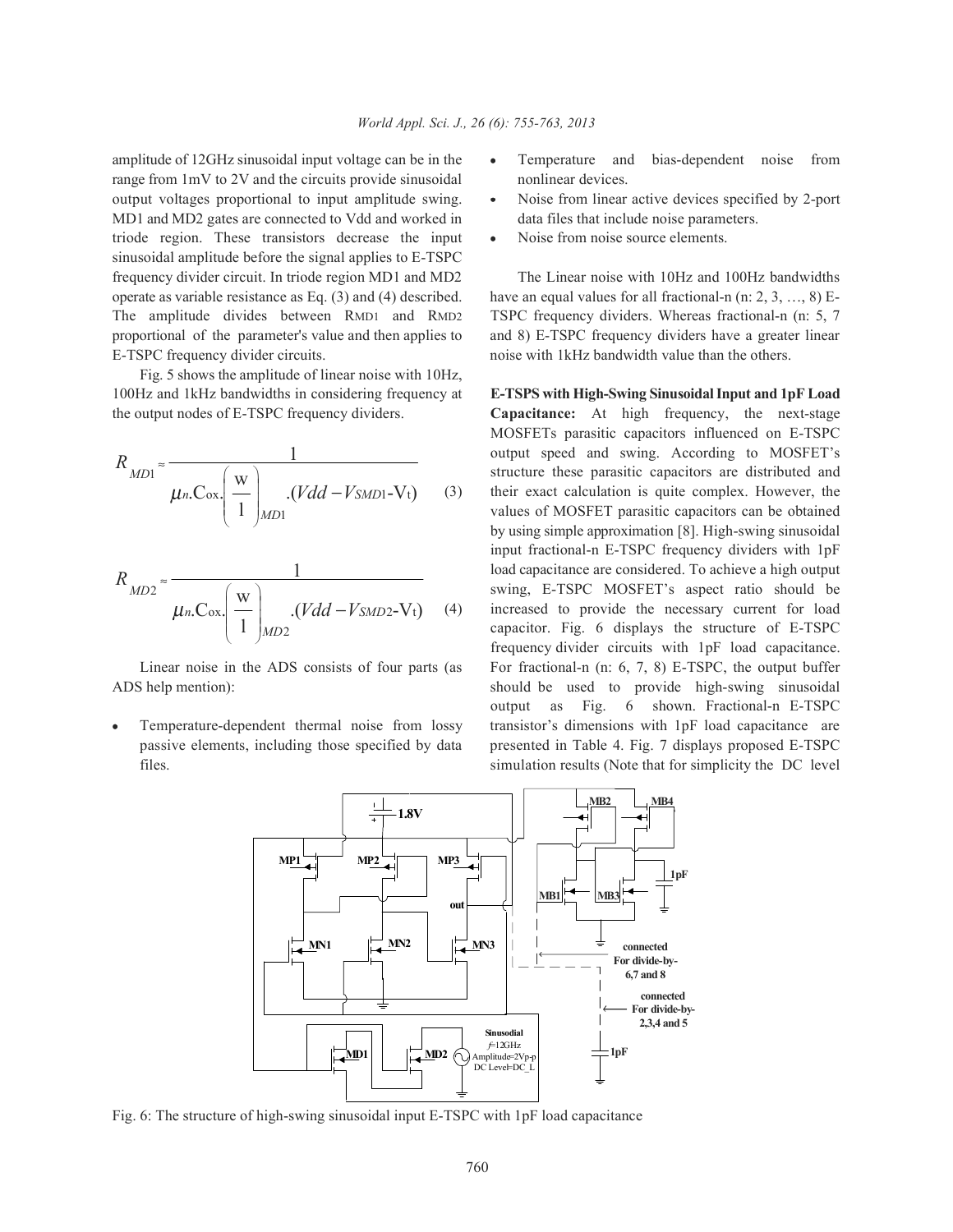amplitude of 12GHz sinusoidal input voltage can be in the  $\bullet$  Temperature and bias-dependent noise from range from 1mV to 2V and the circuits provide sinusoidal nonlinear devices. output voltages proportional to input amplitude swing.  $\bullet$  Noise from linear active devices specified by 2-port MD1 and MD2 gates are connected to Vdd and worked in data files that include noise parameters. triode region. These transistors decrease the input • Noise from noise source elements. sinusoidal amplitude before the signal applies to E-TSPC frequency divider circuit. In triode region MD1 and MD2 The Linear noise with 10Hz and 100Hz bandwidths operate as variable resistance as Eq. (3) and (4) described. have an equal values for all fractional-n (n: 2, 3, …, 8) E-The amplitude divides between RMD1 and RMD2 TSPC frequency dividers. Whereas fractional-n (n: 5, 7 proportional of the parameter's value and then applies to and 8) E-TSPC frequency dividers have a greater linear E-TSPC frequency divider circuits. noise with 1kHz bandwidth value than the others.

Fig. 5 shows the amplitude of linear noise with 10Hz, 100Hz and 1kHz bandwidths in considering frequency at **E-TSPS with High-Swing Sinusoidal Input and 1pF Load**

$$
R_{MD1} \approx \frac{1}{\mu_n \cdot \text{Cox} \cdot \left(\frac{W}{1}\right)_{MD1} \cdot (Vdd - VsMD1 - Vt)} \tag{3}
$$

$$
R_{MD2} \approx \frac{1}{\mu_n C_{ox} \left(\frac{w}{1}\right)_{MD2} \cdot (Vdd - V_{SMD2} - V_t)} \tag{4}
$$

- 
- 
- 

the output nodes of E-TSPC frequency dividers. **Capacitance:** At high frequency, the next-stage output speed and swing. According to MOSFET's their exact calculation is quite complex. However, the load capacitance are considered. To achieve a high output increased to provide the necessary current for load Linear noise in the ADS consists of four parts (as For fractional-n (n: 6, 7, 8) E-TSPC, the output buffer ADS help mention): should be used to provide high-swing sinusoidal Temperature-dependent thermal noise from lossy transistor's dimensions with 1pF load capacitance are passive elements, including those specified by data presented in Table 4. Fig. 7 displays proposed E-TSPC files. simulation results (Note that for simplicity the DC level MOSFETs parasitic capacitors influenced on E-TSPC structure these parasitic capacitors are distributed and values of MOSFET parasitic capacitors can be obtained by using simple approximation [8]. High-swing sinusoidal input fractional-n E-TSPC frequency dividers with 1pF swing, E-TSPC MOSFET's aspect ratio should be capacitor. Fig. 6 displays the structure of E-TSPC frequency divider circuits with 1pF load capacitance. output as Fig. 6 shown. Fractional-n E-TSPC



Fig. 6: The structure of high-swing sinusoidal input E-TSPC with 1pF load capacitance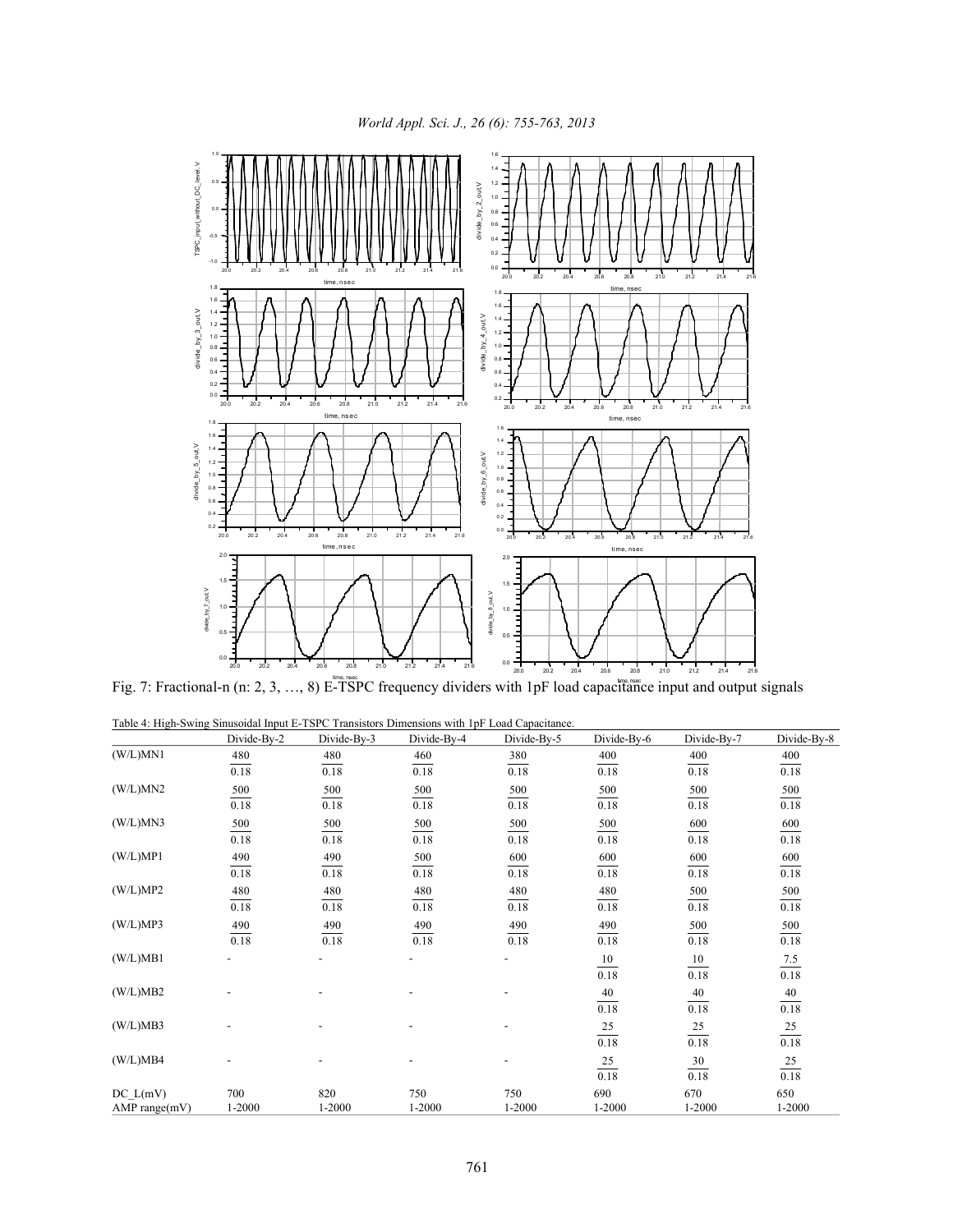

Fig. 7: Fractional-n (n: 2, 3, …, 8) E-TSPC frequency dividers with 1pF load capacitance input and output signals

Table 4: High-Swing Sinusoidal Input E-TSPC Transistors Dimensions with 1pF Load Capacitance.

|               | Divide-By-2 | Divide-By-3    | Divide-By-4              | Divide-By-5              | Divide-By-6    | Divide-By-7       | Divide-By-8        |
|---------------|-------------|----------------|--------------------------|--------------------------|----------------|-------------------|--------------------|
| (W/L)MN1      | 480         | 480            | 460                      | 380                      | 400            | 400               | 400                |
|               | 0.18        | 0.18           | 0.18                     | 0.18                     | 0.18           | 0.18              | 0.18               |
| (W/L)MN2      | 500         | 500            | 500                      | 500                      | 500            | 500               | 500                |
|               | 0.18        | 0.18           | 0.18                     | 0.18                     | 0.18           | 0.18              | 0.18               |
| (W/L)MN3      | 500         | 500            | 500                      | $\frac{500}{2}$          | 500            | 600               | $\frac{600}{0.18}$ |
|               | 0.18        | 0.18           | 0.18                     | $\frac{1}{0.18}$         | 0.18           | 0.18              |                    |
| (W/L)MP1      | 490         | 490            | 500                      | 600                      | 600            | 600               | 600                |
|               | 0.18        | 0.18           | 0.18                     | 0.18                     | 0.18           | 0.18              | 0.18               |
| (W/L)MP2      | 480         | 480            | 480                      | 480                      | 480            | 500               | 500                |
|               | 0.18        | 0.18           | 0.18                     | 0.18                     | 0.18           | 0.18              | 0.18               |
| (W/L)MP3      | 490         | 490            | 490                      | 490                      | 490            | 500               | 500                |
|               | $0.18\,$    | 0.18           | 0.18                     | 0.18                     | 0.18           | 0.18              | 0.18               |
| (W/L)MB1      |             |                |                          |                          | 10             | 10                | $\frac{7.5}{2}$    |
|               |             |                |                          |                          | 0.18           | 0.18              | $0.18\,$           |
| (W/L)MB2      |             |                |                          |                          | 40             | 40                | $40\,$             |
|               |             |                |                          |                          | 0.18           | $\overline{0.18}$ | $\overline{0.18}$  |
| (W/L)MB3      |             | $\overline{a}$ | $\overline{\phantom{a}}$ | $\overline{\phantom{a}}$ | 25             | $\overline{25}$   | $\frac{25}{0.18}$  |
|               |             |                |                          |                          | 0.18           | 0.18              |                    |
| (W/L)MB4      |             |                |                          | $\overline{\phantom{0}}$ | $\frac{25}{2}$ | $\frac{30}{5}$    | $\frac{25}{0.18}$  |
|               |             |                |                          |                          | 0.18           | 0.18              |                    |
| DC L(mV)      | 700         | 820            | 750                      | 750                      | 690            | 670               | 650                |
| AMP range(mV) | $1 - 2000$  | 1-2000         | 1-2000                   | 1-2000                   | 1-2000         | 1-2000            | 1-2000             |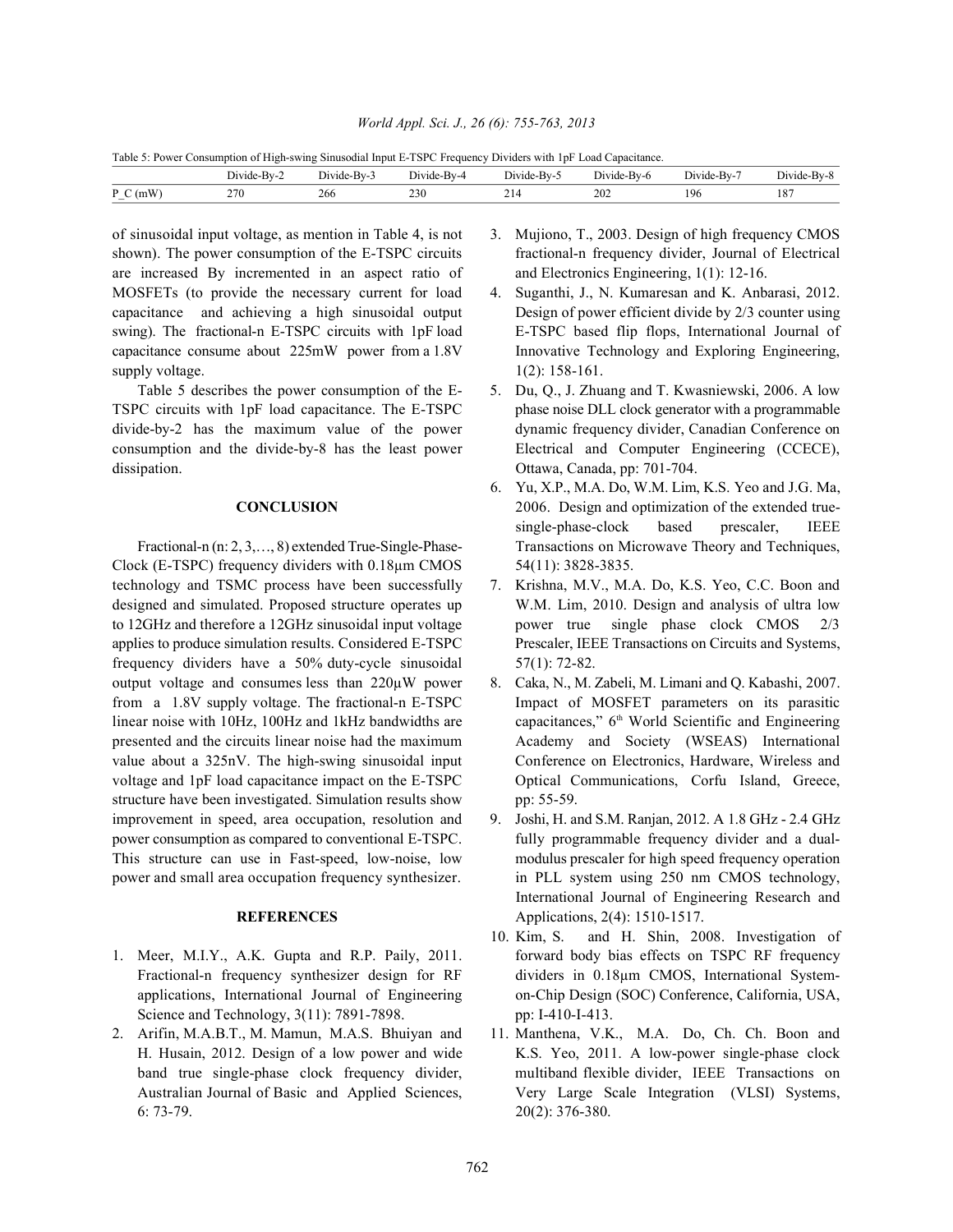Table 5: Power Consumption of High-swing Sinusodial Input E-TSPC Frequency Dividers with 1pF Load Capacitance.

|                                       | --<br>Jivide<br>Bv-              | BV-<br>Divide | <b>Service</b> State<br>. Jivide<br>$\mathbf{B} \mathbf{V}$<br>the contract of the contract of the | <b>Service</b> State<br>⊱Bv-:<br>Divide<br>. | <b><i><u>Property</u></i></b><br>$\mathbf{u}$<br>ide<br>n-Bv-u | ъHv-<br>AA<br>יונ.<br>тае | $\sim$ $\cdot$<br>Divi<br>Bv-8<br>ide |
|---------------------------------------|----------------------------------|---------------|----------------------------------------------------------------------------------------------------|----------------------------------------------|----------------------------------------------------------------|---------------------------|---------------------------------------|
| D<br>'m W<br>$\overline{\phantom{a}}$ | 270<br>$\sim$ $\cdots$<br>$\sim$ | 266           | 230<br>__                                                                                          | --                                           | 202<br>____                                                    | 196                       | 107<br>10<br>__                       |

of sinusoidal input voltage, as mention in Table 4, is not 3. Mujiono, T., 2003. Design of high frequency CMOS shown). The power consumption of the E-TSPC circuits fractional-n frequency divider, Journal of Electrical are increased By incremented in an aspect ratio of and Electronics Engineering, 1(1): 12-16. MOSFETs (to provide the necessary current for load 4. Suganthi, J., N. Kumaresan and K. Anbarasi, 2012. capacitance and achieving a high sinusoidal output Design of power efficient divide by 2/3 counter using swing). The fractional-n E-TSPC circuits with 1pF load E-TSPC based flip flops, International Journal of capacitance consume about 225mW power from a 1.8V Innovative Technology and Exploring Engineering, supply voltage.  $1(2): 158-161$ .

TSPC circuits with 1pF load capacitance. The E-TSPC phase noise DLL clock generator with a programmable divide-by-2 has the maximum value of the power dynamic frequency divider, Canadian Conference on consumption and the divide-by-8 has the least power Electrical and Computer Engineering (CCECE), dissipation. Ottawa, Canada, pp: 701-704.

Clock (E-TSPC) frequency dividers with  $0.18 \mu m$  CMOS  $54(11)$ : 3828-3835. technology and TSMC process have been successfully 7. Krishna, M.V., M.A. Do, K.S. Yeo, C.C. Boon and designed and simulated. Proposed structure operates up W.M. Lim, 2010. Design and analysis of ultra low to 12GHz and therefore a 12GHz sinusoidal input voltage power true single phase clock CMOS 2/3 applies to produce simulation results. Considered E-TSPC Prescaler, IEEE Transactions on Circuits and Systems, frequency dividers have a 50% duty-cycle sinusoidal 57(1): 72-82. output voltage and consumes less than 220µW power 8. Caka, N., M. Zabeli, M. Limani and Q. Kabashi, 2007. from a 1.8V supply voltage. The fractional-n E-TSPC Impact of MOSFET parameters on its parasitic linear noise with 10Hz, 100Hz and 1kHz bandwidths are presented and the circuits linear noise had the maximum Academy and Society (WSEAS) International value about a 325nV. The high-swing sinusoidal input Conference on Electronics, Hardware, Wireless and structure have been investigated. Simulation results show pp: 55-59. improvement in speed, area occupation, resolution and 9. Joshi, H. and S.M. Ranjan, 2012. A 1.8 GHz - 2.4 GHz power consumption as compared to conventional E-TSPC. fully programmable frequency divider and a dual-This structure can use in Fast-speed, low-noise, low modulus prescaler for high speed frequency operation power and small area occupation frequency synthesizer. in PLL system using 250 nm CMOS technology,

- Science and Technology, 3(11): 7891-7898. pp: I-410-I-413.
- 6: 73-79. 20(2): 376-380.
- 
- 
- Table 5 describes the power consumption of the E- 5. Du, Q., J. Zhuang and T. Kwasniewski, 2006. A low
- **CONCLUSION** 2006. Design and optimization of the extended true-Fractional-n (n: 2, 3, ..., 8) extended True-Single-Phase-<br>
Transactions on Microwave Theory and Techniques, 6. Yu, X.P., M.A. Do, W.M. Lim, K.S. Yeo and J.G. Ma, single-phase-clock based prescaler, IEEE
	-
- voltage and 1pF load capacitance impact on the E-TSPC Optical Communications, Corfu Island, Greece, capacitances," 6<sup>th</sup> World Scientific and Engineering
	- **REFERENCES** Applications, 2(4): 1510-1517. International Journal of Engineering Research and
- 1. Meer, M.I.Y., A.K. Gupta and R.P. Paily, 2011. **Forward body bias effects on TSPC RF frequency** Fractional-n frequency synthesizer design for RF dividers in 0.18µm CMOS, International Systemapplications, International Journal of Engineering on-Chip Design (SOC) Conference, California, USA, 10. Kim, S. and H. Shin, 2008. Investigation of
- 2. Arifin, M.A.B.T., M. Mamun, M.A.S. Bhuiyan and 11. Manthena, V.K., M.A. Do, Ch. Ch. Boon and H. Husain, 2012. Design of a low power and wide K.S. Yeo, 2011. A low-power single-phase clock band true single-phase clock frequency divider, multiband flexible divider, IEEE Transactions on Australian Journal of Basic and Applied Sciences, Very Large Scale Integration (VLSI) Systems,